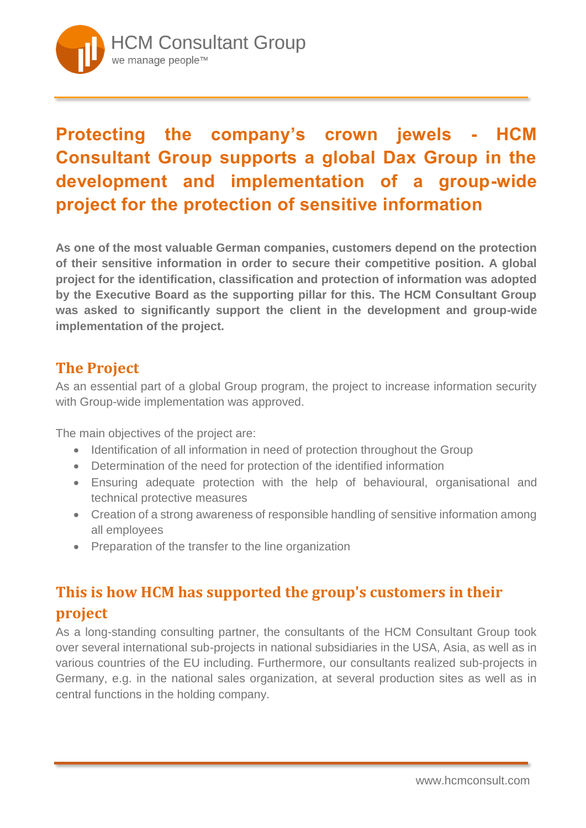

## **Protecting the company's crown jewels - HCM Consultant Group supports a global Dax Group in the development and implementation of a group-wide project for the protection of sensitive information**

**As one of the most valuable German companies, customers depend on the protection of their sensitive information in order to secure their competitive position. A global project for the identification, classification and protection of information was adopted by the Executive Board as the supporting pillar for this. The HCM Consultant Group was asked to significantly support the client in the development and group-wide implementation of the project.**

## **The Project**

As an essential part of a global Group program, the project to increase information security with Group-wide implementation was approved.

The main objectives of the project are:

- Identification of all information in need of protection throughout the Group
- Determination of the need for protection of the identified information
- Ensuring adequate protection with the help of behavioural, organisational and technical protective measures
- Creation of a strong awareness of responsible handling of sensitive information among all employees
- Preparation of the transfer to the line organization

## **This is how HCM has supported the group's customers in their project**

As a long-standing consulting partner, the consultants of the HCM Consultant Group took over several international sub-projects in national subsidiaries in the USA, Asia, as well as in various countries of the EU including. Furthermore, our consultants realized sub-projects in Germany, e.g. in the national sales organization, at several production sites as well as in central functions in the holding company.